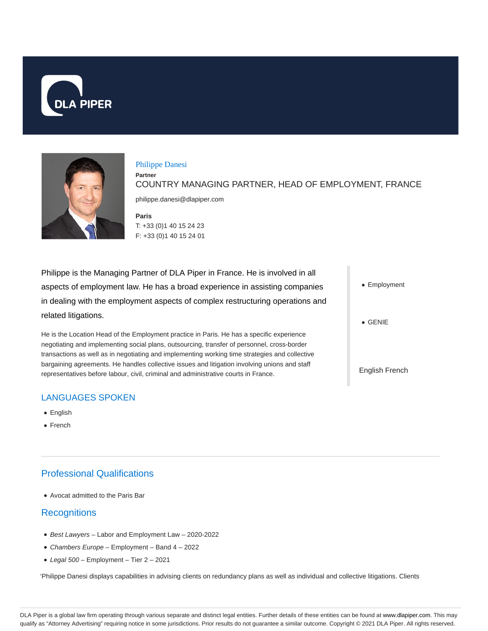



#### Philippe Danesi

**Partner** COUNTRY MANAGING PARTNER, HEAD OF EMPLOYMENT, FRANCE

philippe.danesi@dlapiper.com

**Paris** T: +33 (0)1 40 15 24 23 F: +33 (0)1 40 15 24 01

Philippe is the Managing Partner of DLA Piper in France. He is involved in all aspects of employment law. He has a broad experience in assisting companies in dealing with the employment aspects of complex restructuring operations and related litigations.

He is the Location Head of the Employment practice in Paris. He has a specific experience negotiating and implementing social plans, outsourcing, transfer of personnel, cross-border transactions as well as in negotiating and implementing working time strategies and collective bargaining agreements. He handles collective issues and litigation involving unions and staff representatives before labour, civil, criminal and administrative courts in France.

# LANGUAGES SPOKEN

- English
- French

# Professional Qualifications

Avocat admitted to the Paris Bar

# **Recognitions**

- Best Lawyers Labor and Employment Law 2020-2022
- Chambers Europe Employment Band 4 2022
- $\bullet$  Legal 500 Employment Tier 2 2021

'Philippe Danesi displays capabilities in advising clients on redundancy plans as well as individual and collective litigations. Clients

- Employment
- GENIE
- English French

DLA Piper is a global law firm operating through various separate and distinct legal entities. Further details of these entities can be found at www.dlapiper.com. This may qualify as "Attorney Advertising" requiring notice in some jurisdictions. Prior results do not guarantee a similar outcome. Copyright © 2021 DLA Piper. All rights reserved.